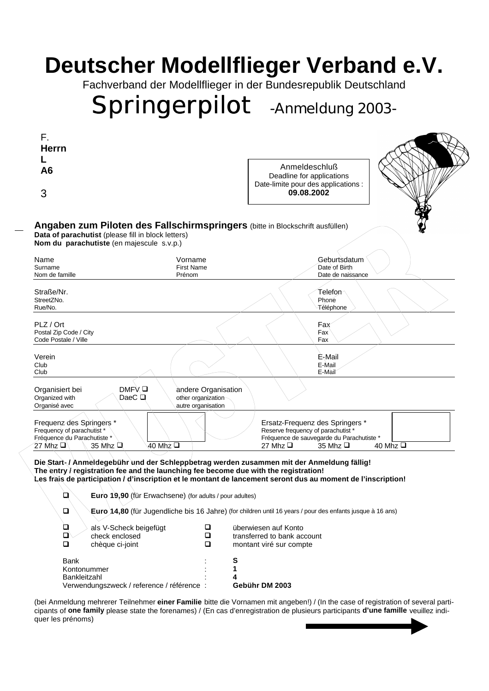## **Deutscher Modellflieger Verband e.V.**

Fachverband der Modellflieger in der Bundesrepublik Deutschland

# *Springerpilot* **-Anmeldung 2003-**

| F.                                                                                                                                                                               |                                                                 |                                                                                                                                                                    |  |  |
|----------------------------------------------------------------------------------------------------------------------------------------------------------------------------------|-----------------------------------------------------------------|--------------------------------------------------------------------------------------------------------------------------------------------------------------------|--|--|
| <b>Herrn</b>                                                                                                                                                                     |                                                                 |                                                                                                                                                                    |  |  |
| A <sub>6</sub><br>3                                                                                                                                                              |                                                                 | Anmeldeschluß<br>Deadline for applications<br>Date-limite pour des applications :<br>09.08.2002                                                                    |  |  |
|                                                                                                                                                                                  |                                                                 |                                                                                                                                                                    |  |  |
| Vorname<br>Name                                                                                                                                                                  |                                                                 | Geburtsdatum                                                                                                                                                       |  |  |
| <b>First Name</b><br>Surname                                                                                                                                                     |                                                                 | Date of Birth                                                                                                                                                      |  |  |
| Nom de famille<br>Prénom                                                                                                                                                         |                                                                 | Date de naissance                                                                                                                                                  |  |  |
| Straße/Nr.<br>StreetZNo.<br>Rue/No.                                                                                                                                              |                                                                 | Telefon∕<br>Phone<br>Téléphone                                                                                                                                     |  |  |
| PLZ / Ort<br>Postal Zip Code / City<br>Code Postale / Ville                                                                                                                      |                                                                 | Fax<br>Fax<br>Fax                                                                                                                                                  |  |  |
| Verein<br>Club<br>Club                                                                                                                                                           |                                                                 | E-Mail<br>E-Mail<br>E-Màil                                                                                                                                         |  |  |
| DMFV O<br>Organisiert bei<br>DaeC $\Box$<br>Organized with<br>Organisé avec                                                                                                      | andere Organisation<br>other organization<br>autre organisation |                                                                                                                                                                    |  |  |
| Frequenz des Springers *<br>Frequency of parachutist *<br>Fréquence du Parachutiste *<br>27 Mhz $\square$<br>40 Mhz <b>□</b><br>35 Mhz Q                                         |                                                                 | Ersatz-Frequenz des Springers *<br>Reserve frequency of parachutist *<br>Fréquence de sauvegarde du Parachutiste *<br>40 Mhz $\Box$<br>27 Mhz <b>Q</b><br>35 Mhz □ |  |  |
| Die Start-/Anmeldegebühr und der Schleppbetrag werden zusammen mit der Anmeldung fällig!<br>The entry / registration fee and the launching fee become due with the registration! |                                                                 | Les frais de participation / d'inscription et le montant de lancement seront dus au moment de l'inscription!                                                       |  |  |
| $\Box$<br>Euro 19,90 (für Erwachsene) (for adults / pour adultes)                                                                                                                |                                                                 |                                                                                                                                                                    |  |  |
| $\Box$                                                                                                                                                                           |                                                                 | <b>Euro 14,80</b> (für Jugendliche bis 16 Jahre) (for children until 16 years / pour des enfants jusque à 16 ans)                                                  |  |  |
| Q<br>als V-Scheck beigefügt                                                                                                                                                      | $\Box$                                                          | überwiesen auf Konto                                                                                                                                               |  |  |
| О<br>check enclosed                                                                                                                                                              | $\Box$                                                          | transferred to bank account                                                                                                                                        |  |  |
| $\Box$<br>chèque ci-joint                                                                                                                                                        | $\Box$                                                          | montant viré sur compte                                                                                                                                            |  |  |
| <b>Bank</b>                                                                                                                                                                      | S                                                               |                                                                                                                                                                    |  |  |
| Kontonummer                                                                                                                                                                      | 1                                                               |                                                                                                                                                                    |  |  |
| Bankleitzahl                                                                                                                                                                     | 4                                                               |                                                                                                                                                                    |  |  |
| Verwendungszweck / reference / référence :                                                                                                                                       |                                                                 | Gebühr DM 2003                                                                                                                                                     |  |  |

(bei Anmeldung mehrerer Teilnehmer **einer Familie** bitte die Vornamen mit angeben!) / (In the case of registration of several participants of **one family** please state the forenames) / (En cas d'enregistration de plusieurs participants **d'une famille** veuillez indiquer les prénoms)